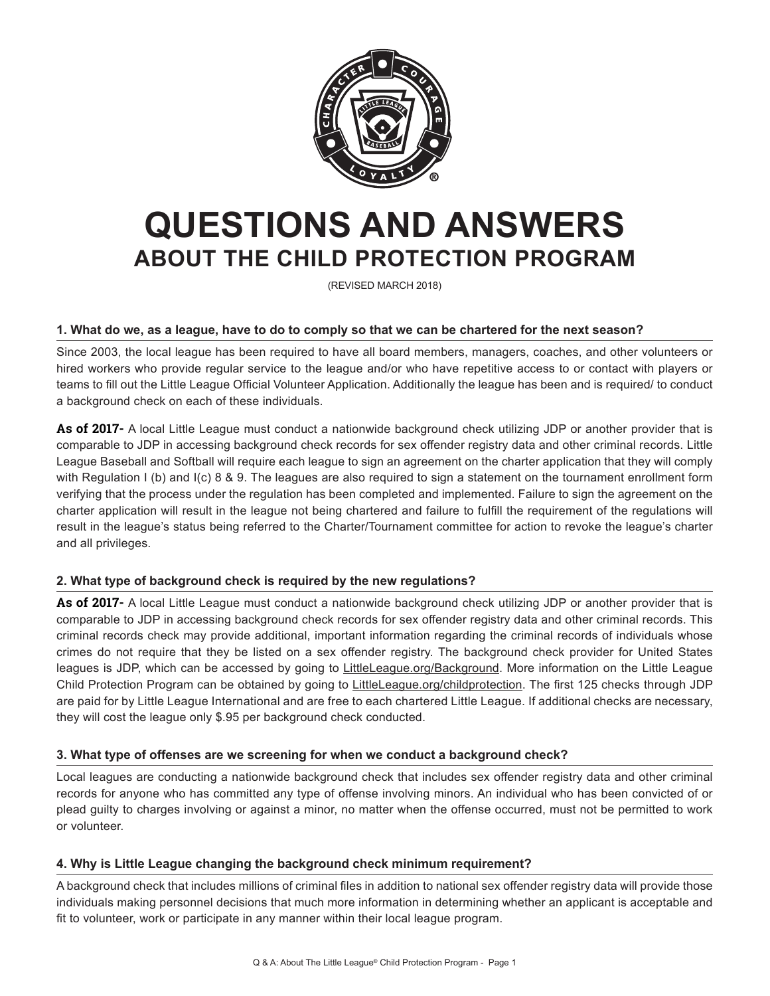

# **QUESTIONS AND ANSWERS ABOUT THE CHILD PROTECTION PROGRAM**

(REVISED MARCH 2018)

# **1. What do we, as a league, have to do to comply so that we can be chartered for the next season?**

Since 2003, the local league has been required to have all board members, managers, coaches, and other volunteers or hired workers who provide regular service to the league and/or who have repetitive access to or contact with players or teams to fill out the Little League Official Volunteer Application. Additionally the league has been and is required/ to conduct a background check on each of these individuals.

**As of 2017-** A local Little League must conduct a nationwide background check utilizing JDP or another provider that is comparable to JDP in accessing background check records for sex offender registry data and other criminal records. Little League Baseball and Softball will require each league to sign an agreement on the charter application that they will comply with Regulation I (b) and I(c) 8 & 9. The leagues are also required to sign a statement on the tournament enrollment form verifying that the process under the regulation has been completed and implemented. Failure to sign the agreement on the charter application will result in the league not being chartered and failure to fulfill the requirement of the regulations will result in the league's status being referred to the Charter/Tournament committee for action to revoke the league's charter and all privileges.

# **2. What type of background check is required by the new regulations?**

**As of 2017-** A local Little League must conduct a nationwide background check utilizing JDP or another provider that is comparable to JDP in accessing background check records for sex offender registry data and other criminal records. This criminal records check may provide additional, important information regarding the criminal records of individuals whose crimes do not require that they be listed on a sex offender registry. The background check provider for United States leagues is JDP, which can be accessed by going to LittleLeague.org/Background. More information on the Little League Child Protection Program can be obtained by going to LittleLeague.org/childprotection. The first 125 checks through JDP are paid for by Little League International and are free to each chartered Little League. If additional checks are necessary, they will cost the league only \$.95 per background check conducted.

## **3. What type of offenses are we screening for when we conduct a background check?**

Local leagues are conducting a nationwide background check that includes sex offender registry data and other criminal records for anyone who has committed any type of offense involving minors. An individual who has been convicted of or plead guilty to charges involving or against a minor, no matter when the offense occurred, must not be permitted to work or volunteer.

## **4. Why is Little League changing the background check minimum requirement?**

A background check that includes millions of criminal files in addition to national sex offender registry data will provide those individuals making personnel decisions that much more information in determining whether an applicant is acceptable and fit to volunteer, work or participate in any manner within their local league program.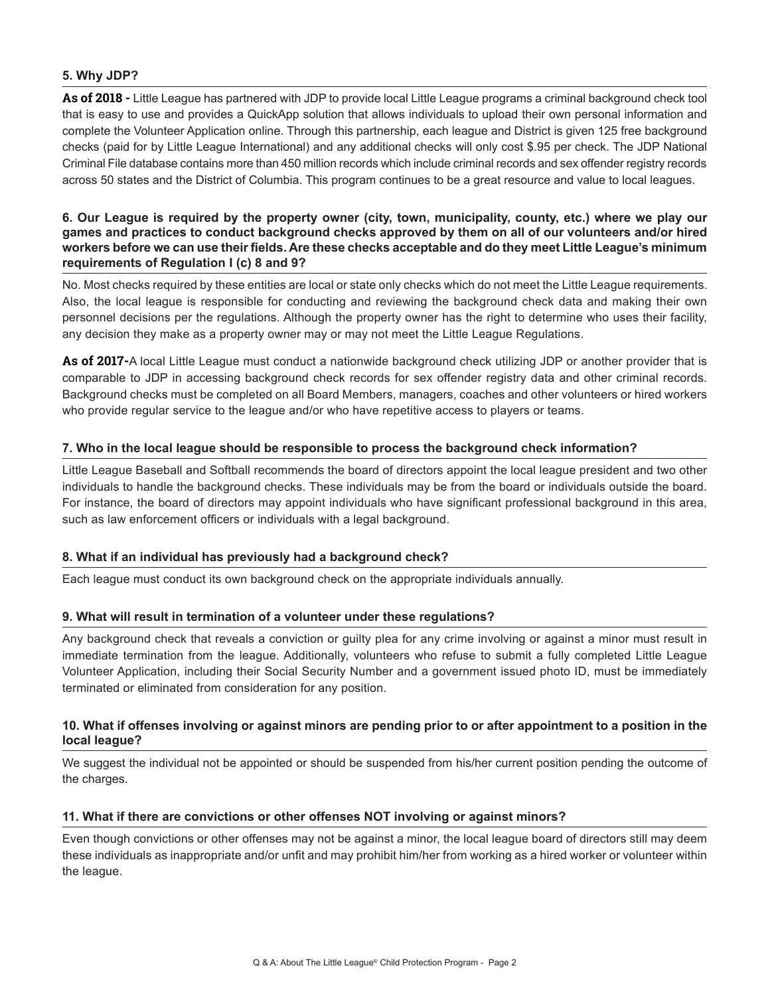## **5. Why JDP?**

**As of 2018 -** Little League has partnered with JDP to provide local Little League programs a criminal background check tool that is easy to use and provides a QuickApp solution that allows individuals to upload their own personal information and complete the Volunteer Application online. Through this partnership, each league and District is given 125 free background checks (paid for by Little League International) and any additional checks will only cost \$.95 per check. The JDP National Criminal File database contains more than 450 million records which include criminal records and sex offender registry records across 50 states and the District of Columbia. This program continues to be a great resource and value to local leagues.

## **6. Our League is required by the property owner (city, town, municipality, county, etc.) where we play our games and practices to conduct background checks approved by them on all of our volunteers and/or hired workers before we can use their fields. Are these checks acceptable and do they meet Little League's minimum requirements of Regulation I (c) 8 and 9?**

No. Most checks required by these entities are local or state only checks which do not meet the Little League requirements. Also, the local league is responsible for conducting and reviewing the background check data and making their own personnel decisions per the regulations. Although the property owner has the right to determine who uses their facility, any decision they make as a property owner may or may not meet the Little League Regulations.

**As of 2017-**A local Little League must conduct a nationwide background check utilizing JDP or another provider that is comparable to JDP in accessing background check records for sex offender registry data and other criminal records. Background checks must be completed on all Board Members, managers, coaches and other volunteers or hired workers who provide regular service to the league and/or who have repetitive access to players or teams.

## **7. Who in the local league should be responsible to process the background check information?**

Little League Baseball and Softball recommends the board of directors appoint the local league president and two other individuals to handle the background checks. These individuals may be from the board or individuals outside the board. For instance, the board of directors may appoint individuals who have significant professional background in this area, such as law enforcement officers or individuals with a legal background.

## **8. What if an individual has previously had a background check?**

Each league must conduct its own background check on the appropriate individuals annually.

## **9. What will result in termination of a volunteer under these regulations?**

Any background check that reveals a conviction or guilty plea for any crime involving or against a minor must result in immediate termination from the league. Additionally, volunteers who refuse to submit a fully completed Little League Volunteer Application, including their Social Security Number and a government issued photo ID, must be immediately terminated or eliminated from consideration for any position.

## **10. What if offenses involving or against minors are pending prior to or after appointment to a position in the local league?**

We suggest the individual not be appointed or should be suspended from his/her current position pending the outcome of the charges.

## **11. What if there are convictions or other offenses NOT involving or against minors?**

Even though convictions or other offenses may not be against a minor, the local league board of directors still may deem these individuals as inappropriate and/or unfit and may prohibit him/her from working as a hired worker or volunteer within the league.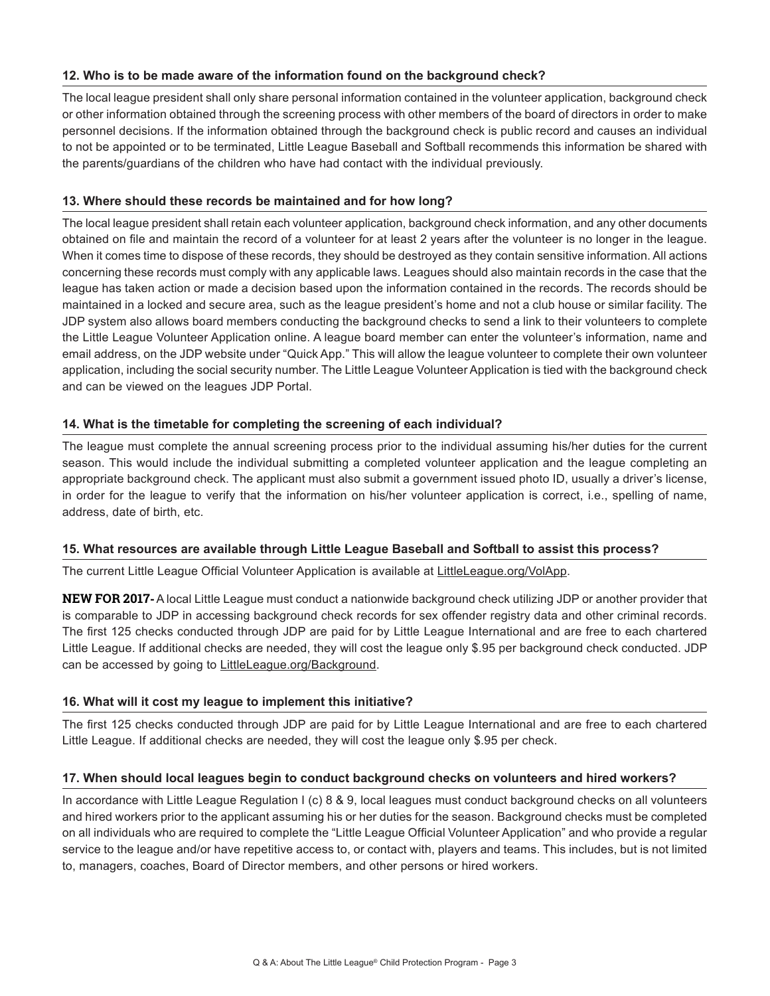# **12. Who is to be made aware of the information found on the background check?**

The local league president shall only share personal information contained in the volunteer application, background check or other information obtained through the screening process with other members of the board of directors in order to make personnel decisions. If the information obtained through the background check is public record and causes an individual to not be appointed or to be terminated, Little League Baseball and Softball recommends this information be shared with the parents/guardians of the children who have had contact with the individual previously.

# **13. Where should these records be maintained and for how long?**

The local league president shall retain each volunteer application, background check information, and any other documents obtained on file and maintain the record of a volunteer for at least 2 years after the volunteer is no longer in the league. When it comes time to dispose of these records, they should be destroyed as they contain sensitive information. All actions concerning these records must comply with any applicable laws. Leagues should also maintain records in the case that the league has taken action or made a decision based upon the information contained in the records. The records should be maintained in a locked and secure area, such as the league president's home and not a club house or similar facility. The JDP system also allows board members conducting the background checks to send a link to their volunteers to complete the Little League Volunteer Application online. A league board member can enter the volunteer's information, name and email address, on the JDP website under "Quick App." This will allow the league volunteer to complete their own volunteer application, including the social security number. The Little League Volunteer Application is tied with the background check and can be viewed on the leagues JDP Portal.

## **14. What is the timetable for completing the screening of each individual?**

The league must complete the annual screening process prior to the individual assuming his/her duties for the current season. This would include the individual submitting a completed volunteer application and the league completing an appropriate background check. The applicant must also submit a government issued photo ID, usually a driver's license, in order for the league to verify that the information on his/her volunteer application is correct, i.e., spelling of name, address, date of birth, etc.

# **15. What resources are available through Little League Baseball and Softball to assist this process?**

The current Little League Official Volunteer Application is available at LittleLeague.org/VolApp.

**NEW FOR 2017-** A local Little League must conduct a nationwide background check utilizing JDP or another provider that is comparable to JDP in accessing background check records for sex offender registry data and other criminal records. The first 125 checks conducted through JDP are paid for by Little League International and are free to each chartered Little League. If additional checks are needed, they will cost the league only \$.95 per background check conducted. JDP can be accessed by going to LittleLeague.org/Background.

# **16. What will it cost my league to implement this initiative?**

The first 125 checks conducted through JDP are paid for by Little League International and are free to each chartered Little League. If additional checks are needed, they will cost the league only \$.95 per check.

## **17. When should local leagues begin to conduct background checks on volunteers and hired workers?**

In accordance with Little League Regulation I (c) 8 & 9, local leagues must conduct background checks on all volunteers and hired workers prior to the applicant assuming his or her duties for the season. Background checks must be completed on all individuals who are required to complete the "Little League Official Volunteer Application" and who provide a regular service to the league and/or have repetitive access to, or contact with, players and teams. This includes, but is not limited to, managers, coaches, Board of Director members, and other persons or hired workers.